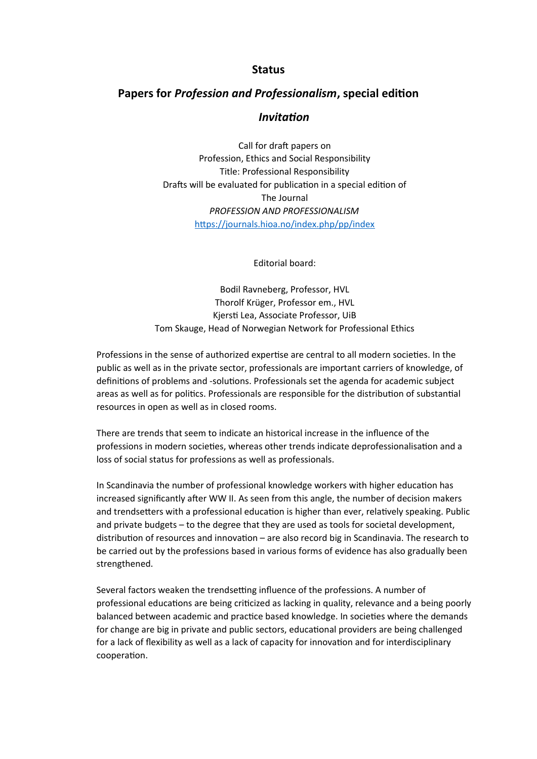## **Status**

## **Papers for** *Profession and Professionalism***, special edition**

## *Invitation*

Call for draft papers on Profession, Ethics and Social Responsibility Title: Professional Responsibility Drafts will be evaluated for publication in a special edition of The Journal *PROFESSION AND PROFESSIONALISM* <https://journals.hioa.no/index.php/pp/index>

Editorial board:

Bodil Ravneberg, Professor, HVL Thorolf Krüger, Professor em., HVL Kjersti Lea, Associate Professor, UiB Tom Skauge, Head of Norwegian Network for Professional Ethics

Professions in the sense of authorized expertise are central to all modern societies. In the public as well as in the private sector, professionals are important carriers of knowledge, of definitions of problems and -solutions. Professionals set the agenda for academic subject areas as well as for politics. Professionals are responsible for the distribution of substantial resources in open as well as in closed rooms.

There are trends that seem to indicate an historical increase in the influence of the professions in modern societies, whereas other trends indicate deprofessionalisation and a loss of social status for professions as well as professionals.

In Scandinavia the number of professional knowledge workers with higher education has increased significantly after WW II. As seen from this angle, the number of decision makers and trendsetters with a professional education is higher than ever, relatively speaking. Public and private budgets – to the degree that they are used as tools for societal development, distribution of resources and innovation – are also record big in Scandinavia. The research to be carried out by the professions based in various forms of evidence has also gradually been strengthened.

Several factors weaken the trendsetting influence of the professions. A number of professional educations are being criticized as lacking in quality, relevance and a being poorly balanced between academic and practice based knowledge. In societies where the demands for change are big in private and public sectors, educational providers are being challenged for a lack of flexibility as well as a lack of capacity for innovation and for interdisciplinary cooperation.